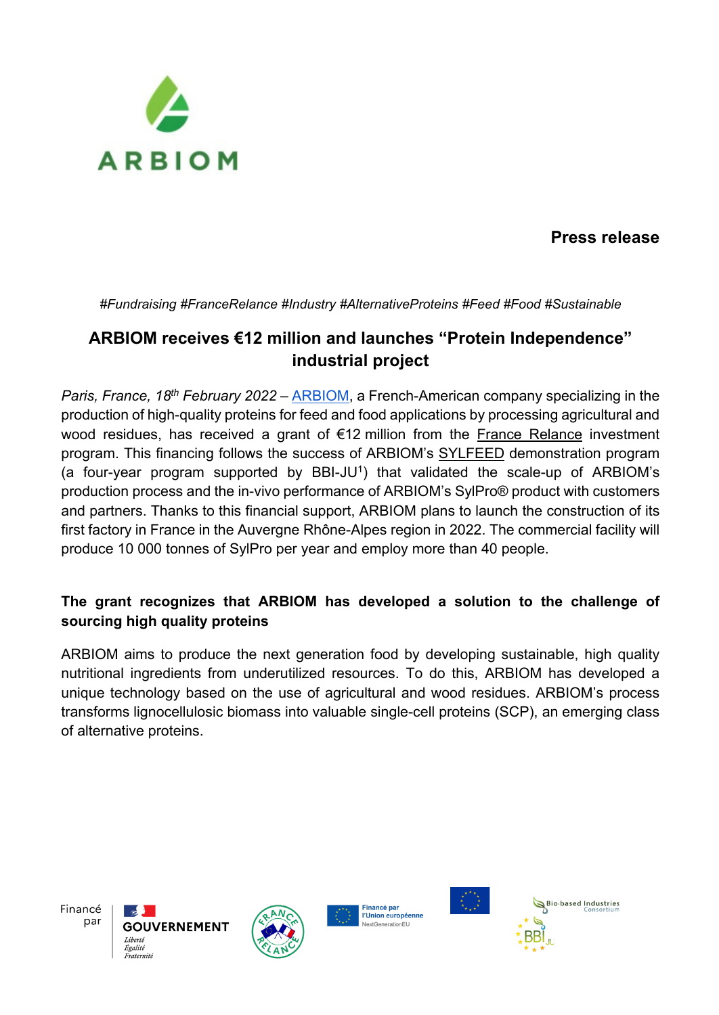

# **Press release**

#### *#Fundraising #FranceRelance #Industry #AlternativeProteins #Feed #Food #Sustainable*

# **ARBIOM receives €12 million and launches "Protein Independence" industrial project**

*Paris, France, 18th February 2022* – [ARBIOM,](https://arbiom.com/) a French-American company specializing in the production of high-quality proteins for feed and food applications by processing agricultural and wood residues, has received a grant of €12 million from the [France Relance](https://www.entreprises.gouv.fr/fr/france-relance) investment program. This financing follows the success of ARBIOM's [SYLFEED](https://sylfeed.eu/) demonstration program (a four-year program supported by BBI-JU1) that validated the scale-up of ARBIOM's production process and the in-vivo performance of ARBIOM's SylPro® product with customers and partners. Thanks to this financial support, ARBIOM plans to launch the construction of its first factory in France in the Auvergne Rhône-Alpes region in 2022. The commercial facility will produce 10 000 tonnes of SylPro per year and employ more than 40 people.

## **The grant recognizes that ARBIOM has developed a solution to the challenge of sourcing high quality proteins**

ARBIOM aims to produce the next generation food by developing sustainable, high quality nutritional ingredients from underutilized resources. To do this, ARBIOM has developed a unique technology based on the use of agricultural and wood residues. ARBIOM's process transforms lignocellulosic biomass into valuable single-cell proteins (SCP), an emerging class of alternative proteins.







Financé par l'Union européenne extGenerationEU



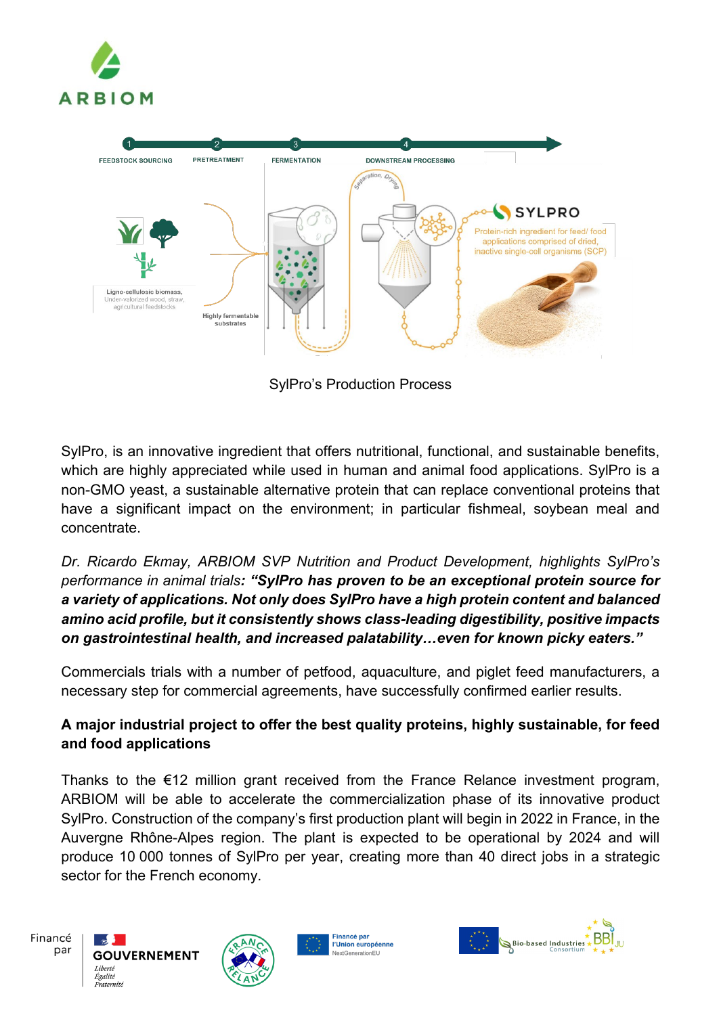



SylPro's Production Process

SylPro, is an innovative ingredient that offers nutritional, functional, and sustainable benefits, which are highly appreciated while used in human and animal food applications. SylPro is a non-GMO yeast, a sustainable alternative protein that can replace conventional proteins that have a significant impact on the environment; in particular fishmeal, soybean meal and concentrate.

*Dr. Ricardo Ekmay, ARBIOM SVP Nutrition and Product Development, highlights SylPro's performance in animal trials: "SylPro has proven to be an exceptional protein source for a variety of applications. Not only does SylPro have a high protein content and balanced amino acid profile, but it consistently shows class-leading digestibility, positive impacts on gastrointestinal health, and increased palatability…even for known picky eaters."*

Commercials trials with a number of petfood, aquaculture, and piglet feed manufacturers, a necessary step for commercial agreements, have successfully confirmed earlier results.

### **A major industrial project to offer the best quality proteins, highly sustainable, for feed and food applications**

Thanks to the  $E12$  million grant received from the France Relance investment program, ARBIOM will be able to accelerate the commercialization phase of its innovative product SylPro. Construction of the company's first production plant will begin in 2022 in France, in the Auvergne Rhône-Alpes region. The plant is expected to be operational by 2024 and will produce 10 000 tonnes of SylPro per year, creating more than 40 direct jobs in a strategic sector for the French economy.





Financé par<br>l'Union européenne **erationFU**